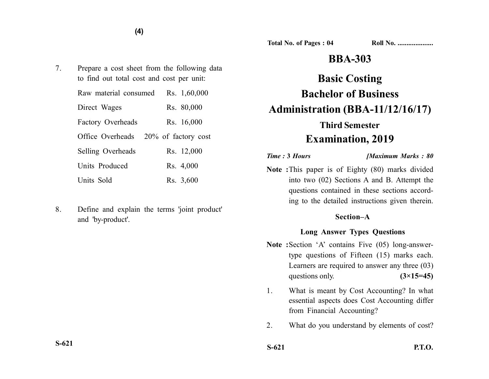**Total No. of Pages : 04 Roll No. ...................** 

## **BBA-303**

# **Basic Costing Bachelor of Business Administration (BBA-11/12/16/17) Third Semester**

# **Examination, 2019**

*Time :* **3** *Hours [Maximum Marks : 80*

**Note :**This paper is of Eighty (80) marks divided into two (02) Sections A and B. Attempt the questions contained in these sections according to the detailed instructions given therein.

#### **Section–A**

#### **Long Answer Types Questions**

- Note :Section 'A' contains Five (05) long-answertype questions of Fifteen (15) marks each. Learners are required to answer any three (03) questions only. **(3×15=45)**
- 1. What is meant by Cost Accounting? In what essential aspects does Cost Accounting differ from Financial Accounting?
- 2. What do you understand by elements of cost?
- **S-621 P.T.O.**

7. Prepare a cost sheet from the following data to find out total cost and cost per unit:

| Raw material consumed    |                     | Rs. 1,60,000 |
|--------------------------|---------------------|--------------|
| Direct Wages             |                     | Rs. 80,000   |
| <b>Factory Overheads</b> |                     | Rs. 16,000   |
| Office Overheads         | 20% of factory cost |              |
| Selling Overheads        |                     | Rs. 12,000   |
| Units Produced           |                     | Rs. 4,000    |
| Units Sold               |                     | Rs. 3,600    |

8. Define and explain the terms 'joint product' and 'by-product'.